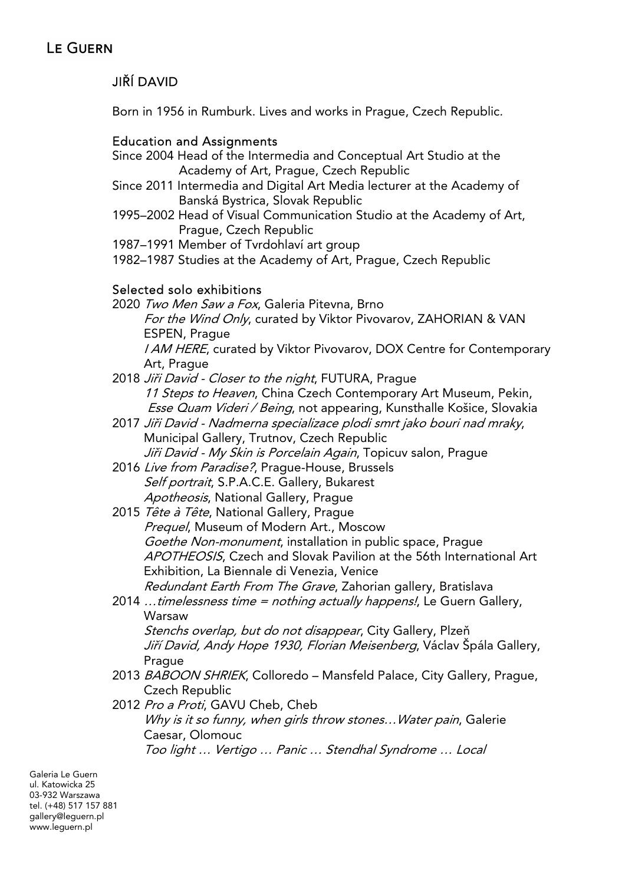# JIŘÍ DAVID

Born in 1956 in Rumburk. Lives and works in Prague, Czech Republic.

### Education and Assignments

- Since 2004 Head of the Intermedia and Conceptual Art Studio at the Academy of Art, Prague, Czech Republic
- Since 2011 Intermedia and Digital Art Media lecturer at the Academy of Banská Bystrica, Slovak Republic
- 1995–2002 Head of Visual Communication Studio at the Academy of Art, Prague, Czech Republic
- 1987–1991 Member of Tvrdohlaví art group
- 1982–1987 Studies at the Academy of Art, Prague, Czech Republic

### Selected solo exhibitions

- 2020 Two Men Saw a Fox, Galeria Pitevna, Brno For the Wind Only, curated by Viktor Pivovarov, ZAHORIAN & VAN ESPEN, Prague I AM HERE, curated by Viktor Pivovarov, DOX Centre for Contemporary Art, Prague
- 2018 Jiři David Closer to the night, FUTURA, Prague 11 Steps to Heaven, China Czech Contemporary Art Museum, Pekin, Esse Quam Videri / Being, not appearing, Kunsthalle Košice, Slovakia
- 2017 Jiři David Nadmerna specializace plodi smrt jako bouri nad mraky, Municipal Gallery, Trutnov, Czech Republic Jiři David - My Skin is Porcelain Again, Topicuv salon, Prague
- 2016 Live from Paradise?, Praque-House, Brussels Self portrait, S.P.A.C.E. Gallery, Bukarest Apotheosis, National Gallery, Praque
- 2015 Tête à Tête, National Gallery, Prague Prequel, Museum of Modern Art., Moscow Goethe Non-monument, installation in public space, Prague APOTHEOSIS, Czech and Slovak Pavilion at the 56th International Art Exhibition, La Biennale di Venezia, Venice Redundant Earth From The Grave, Zahorian gallery, Bratislava
- 2014  $\ldots$  timelessness time = nothing actually happens!, Le Guern Gallery, Warsaw

Stenchs overlap, but do not disappear, City Gallery, Plzeň Jiří David, Andy Hope 1930, Florian Meisenberg, Václav Špála Gallery, **Prague** 

- 2013 BABOON SHRIEK, Colloredo Mansfeld Palace, City Gallery, Prague, Czech Republic
- 2012 Pro a Proti, GAVU Cheb, Cheb

Why is it so funny, when girls throw stones... Water pain, Galerie Caesar, Olomouc Too light … Vertigo … Panic … Stendhal Syndrome … Local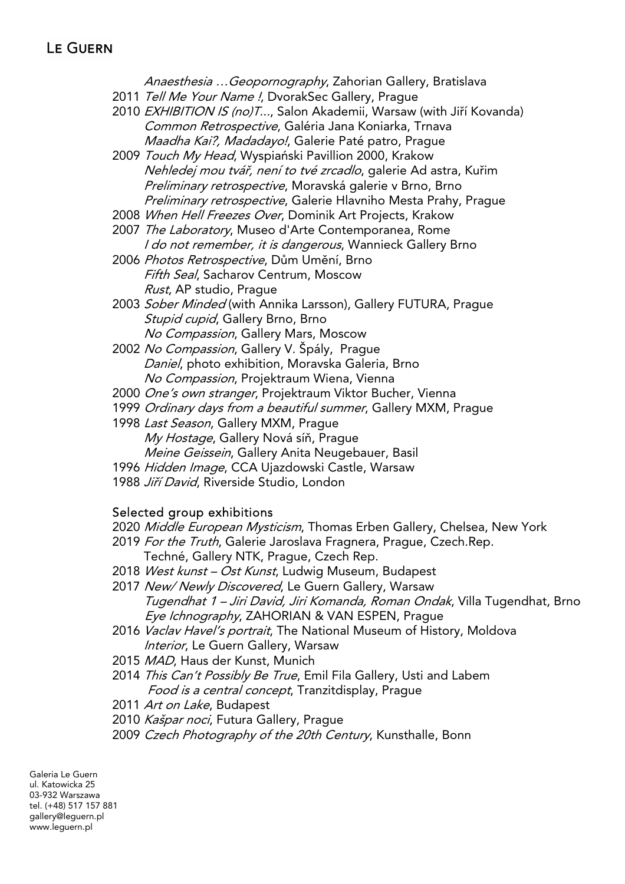Anaesthesia …Geopornography, Zahorian Gallery, Bratislava

- 2011 Tell Me Your Name !, DvorakSec Gallery, Prague
- 2010 EXHIBITION IS (no)T..., Salon Akademii, Warsaw (with Jiří Kovanda) Common Retrospective, Galéria Jana Koniarka, Trnava Maadha Kai?, Madadayo!, Galerie Paté patro, Prague
- 2009 Touch My Head, Wyspiański Pavillion 2000, Krakow Nehledej mou tvář, není to tvé zrcadlo, galerie Ad astra, Kuřim Preliminary retrospective, Moravská galerie v Brno, Brno Preliminary retrospective, Galerie Hlavniho Mesta Prahy, Prague
- 2008 When Hell Freezes Over, Dominik Art Projects, Krakow
- 2007 The Laboratory, Museo d'Arte Contemporanea, Rome I do not remember, it is dangerous, Wannieck Gallery Brno
- 2006 Photos Retrospective, Dům Umění, Brno Fifth Seal, Sacharov Centrum, Moscow Rust, AP studio, Prague
- 2003 Sober Minded (with Annika Larsson), Gallery FUTURA, Prague Stupid cupid, Gallery Brno, Brno No Compassion, Gallery Mars, Moscow
- 2002 No Compassion, Gallery V. Špály, Prague Daniel, photo exhibition, Moravska Galeria, Brno No Compassion, Projektraum Wiena, Vienna
- 2000 One's own stranger, Projektraum Viktor Bucher, Vienna
- 1999 Ordinary days from a beautiful summer, Gallery MXM, Prague
- 1998 Last Season, Gallery MXM, Prague My Hostage, Gallery Nová síň, Prague Meine Geissein, Gallery Anita Neugebauer, Basil
- 1996 Hidden Image, CCA Ujazdowski Castle, Warsaw
- 1988 Jiří David, Riverside Studio, London

# Selected group exhibitions

- 2020 Middle European Mysticism, Thomas Erben Gallery, Chelsea, New York
- 2019 For the Truth, Galerie Jaroslava Fragnera, Prague, Czech.Rep.
	- Techné, Gallery NTK, Prague, Czech Rep.
- 2018 West kunst Ost Kunst, Ludwig Museum, Budapest
- 2017 New/Newly Discovered, Le Guern Gallery, Warsaw Tugendhat 1 – Jiri David, Jiri Komanda, Roman Ondak, Villa Tugendhat, Brno Eye Ichnography, ZAHORIAN & VAN ESPEN, Prague
- 2016 Vaclav Havel's portrait, The National Museum of History, Moldova Interior, Le Guern Gallery, Warsaw
- 2015 MAD, Haus der Kunst, Munich
- 2014 This Can't Possibly Be True, Emil Fila Gallery, Usti and Labem Food is a central concept, Tranzitdisplay, Prague
- 2011 Art on Lake, Budapest
- 2010 Kašpar noci, Futura Gallery, Prague
- 2009 Czech Photography of the 20th Century, Kunsthalle, Bonn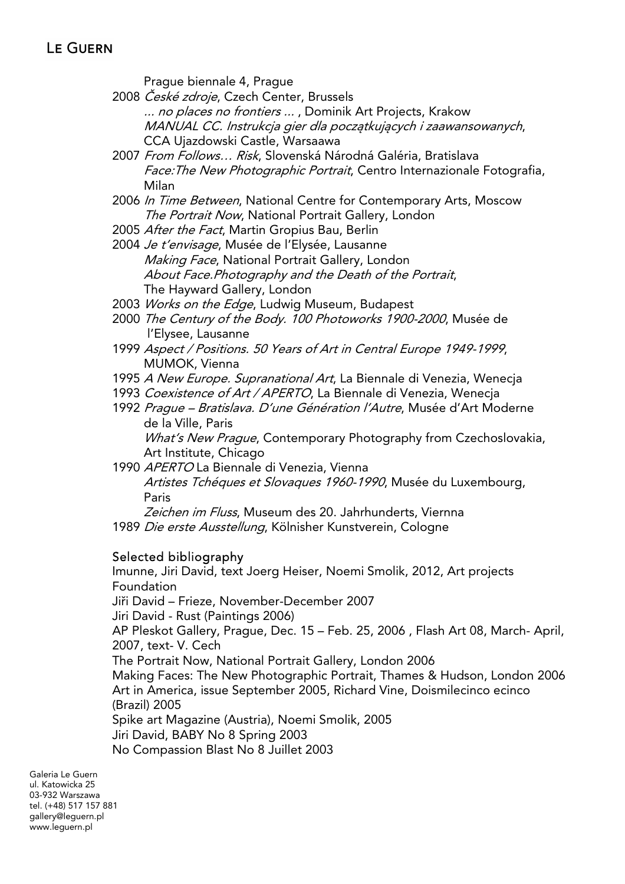Prague biennale 4, Prague

- 2008 *České zdroje*, Czech Center, Brussels ... no places no frontiers ..., Dominik Art Projects, Krakow MANUAL CC. Instrukcja gier dla początkujących i zaawansowanych, CCA Ujazdowski Castle, Warsaawa
- 2007 *From Follows... Risk*, Slovenská Národná Galéria, Bratislava Face: The New Photographic Portrait, Centro Internazionale Fotografia, Milan
- 2006 In Time Between, National Centre for Contemporary Arts, Moscow The Portrait Now, National Portrait Gallery, London
- 2005 After the Fact, Martin Gropius Bau, Berlin
- 2004 *Je t'envisage*, Musée de l'Elysée, Lausanne Making Face, National Portrait Gallery, London About Face.Photography and the Death of the Portrait, The Hayward Gallery, London
- 2003 Works on the Edge, Ludwig Museum, Budapest
- 2000 The Century of the Body. 100 Photoworks 1900-2000, Musée de l'Elysee, Lausanne
- 1999 Aspect / Positions. 50 Years of Art in Central Europe 1949-1999, MUMOK, Vienna
- 1995 A New Europe. Supranational Art, La Biennale di Venezia, Wenecja
- 1993 Coexistence of Art / APERTO, La Biennale di Venezia, Wenecja
- 1992 Prague Bratislava. D'une Génération l'Autre, Musée d'Art Moderne de la Ville, Paris What's New Praque, Contemporary Photography from Czechoslovakia, Art Institute, Chicago
- 1990 APERTO La Biennale di Venezia, Vienna Artistes Tchéques et Slovaques 1960-1990, Musée du Luxembourg, Paris

Zeichen im Fluss, Museum des 20. Jahrhunderts, Viernna 1989 Die erste Ausstellung, Kölnisher Kunstverein, Cologne

#### Selected bibliography

Imunne, Jiri David, text Joerg Heiser, Noemi Smolik, 2012, Art projects Foundation Jiři David – Frieze, November-December 2007 Jiri David - Rust (Paintings 2006) AP Pleskot Gallery, Prague, Dec. 15 – Feb. 25, 2006 , Flash Art 08, March- April, 2007, text- V. Cech The Portrait Now, National Portrait Gallery, London 2006 Making Faces: The New Photographic Portrait, Thames & Hudson, London 2006 Art in America, issue September 2005, Richard Vine, Doismilecinco ecinco (Brazil) 2005 Spike art Magazine (Austria), Noemi Smolik, 2005 Jiri David, BABY No 8 Spring 2003 No Compassion Blast No 8 Juillet 2003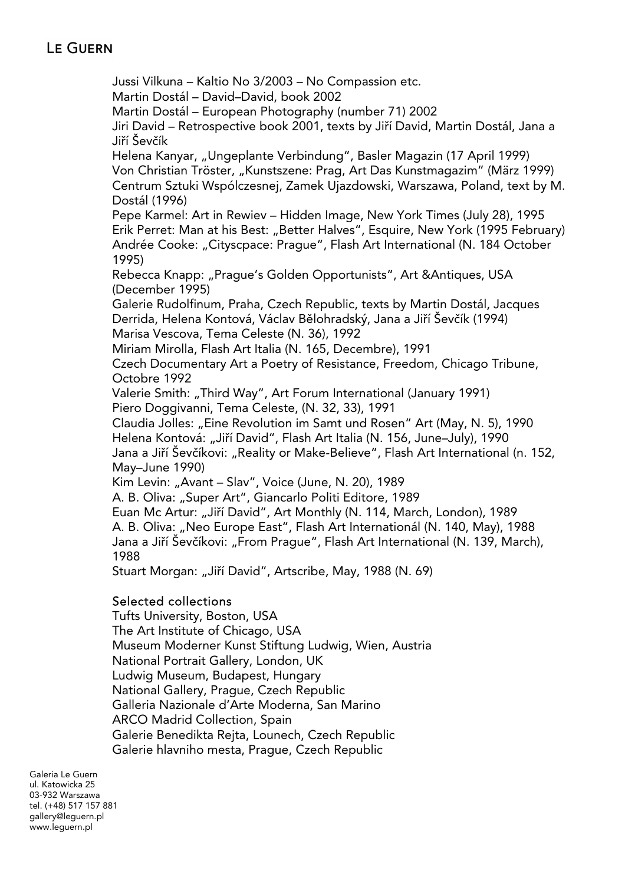### **LE GUERN**

Jussi Vilkuna – Kaltio No 3/2003 – No Compassion etc. Martin Dostál – David–David, book 2002 Martin Dostál – European Photography (number 71) 2002 Jiri David – Retrospective book 2001, texts by Jiří David, Martin Dostál, Jana a Jiří Ševčík Helena Kanyar, "Ungeplante Verbindung", Basler Magazin (17 April 1999) Von Christian Tröster, "Kunstszene: Prag, Art Das Kunstmagazim" (März 1999) Centrum Sztuki Wspólczesnej, Zamek Ujazdowski, Warszawa, Poland, text by M. Dostál (1996) Pepe Karmel: Art in Rewiev – Hidden Image, New York Times (July 28), 1995 Erik Perret: Man at his Best: "Better Halves", Esquire, New York (1995 February) Andrée Cooke: "Cityscpace: Prague", Flash Art International (N. 184 October 1995) Rebecca Knapp: "Prague's Golden Opportunists", Art &Antiques, USA (December 1995) Galerie Rudolfinum, Praha, Czech Republic, texts by Martin Dostál, Jacques Derrida, Helena Kontová, Václav Bělohradský, Jana a Jiří Ševčík (1994) Marisa Vescova, Tema Celeste (N. 36), 1992 Miriam Mirolla, Flash Art Italia (N. 165, Decembre), 1991 Czech Documentary Art a Poetry of Resistance, Freedom, Chicago Tribune, Octobre 1992 Valerie Smith: "Third Way", Art Forum International (January 1991) Piero Doggivanni, Tema Celeste, (N. 32, 33), 1991 Claudia Jolles: "Eine Revolution im Samt und Rosen" Art (May, N. 5), 1990 Helena Kontová: "Jiří David", Flash Art Italia (N. 156, June–July), 1990 Jana a Jiří Ševčíkovi: "Reality or Make-Believe", Flash Art International (n. 152, May–June 1990) Kim Levin: "Avant - Slav", Voice (June, N. 20), 1989 A. B. Oliva: "Super Art", Giancarlo Politi Editore, 1989 Euan Mc Artur: "Jiří David", Art Monthly (N. 114, March, London), 1989 A. B. Oliva: "Neo Europe East", Flash Art Internationál (N. 140, May), 1988 Jana a Jiří Ševčíkovi: "From Prague", Flash Art International (N. 139, March), 1988 Stuart Morgan: "Jiří David", Artscribe, May, 1988 (N. 69)

#### Selected collections

Tufts University, Boston, USA The Art Institute of Chicago, USA Museum Moderner Kunst Stiftung Ludwig, Wien, Austria National Portrait Gallery, London, UK Ludwig Museum, Budapest, Hungary National Gallery, Prague, Czech Republic Galleria Nazionale d'Arte Moderna, San Marino ARCO Madrid Collection, Spain Galerie Benedikta Rejta, Lounech, Czech Republic Galerie hlavniho mesta, Prague, Czech Republic